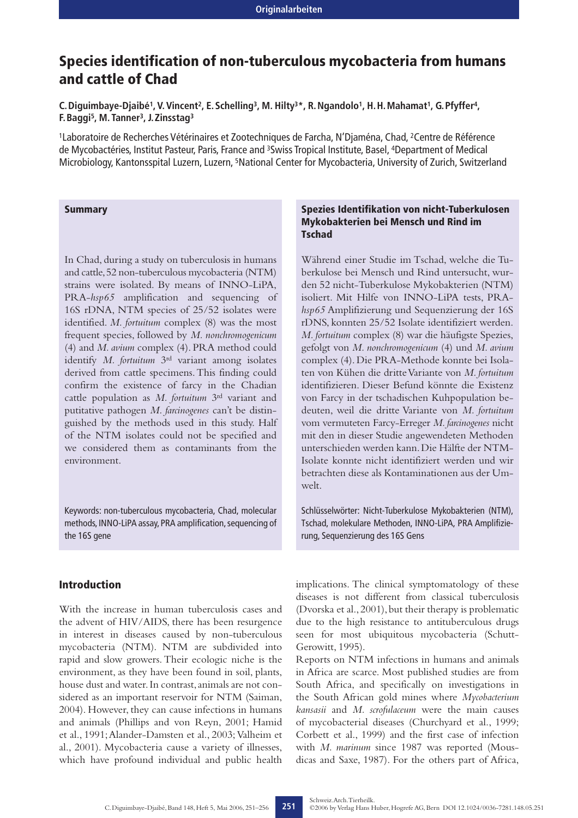# **Species identification of non-tuberculous mycobacteria from humans and cattle of Chad**

**C.Diguimbaye-Djaibé1, V. Vincent2, E.Schelling3, M. Hilty3\*, R.Ngandolo1, H.H.Mahamat1, G.Pfyffer4, F.Baggi5, M. Tanner3, J.Zinsstag3**

1Laboratoire de Recherches Vétérinaires et Zootechniques de Farcha, N'Djaména, Chad, 2Centre de Référence de Mycobactéries, Institut Pasteur, Paris, France and 3Swiss Tropical Institute, Basel, 4Department of Medical Microbiology, Kantonsspital Luzern, Luzern, 5National Center for Mycobacteria, University of Zurich, Switzerland

#### **Summary**

In Chad, during a study on tuberculosis in humans and cattle,52 non-tuberculous mycobacteria (NTM) strains were isolated. By means of INNO-LiPA, PRA-*hsp65* amplification and sequencing of 16S rDNA, NTM species of 25/52 isolates were identified. *M. fortuitum* complex (8) was the most frequent species, followed by *M. nonchromogenicum* (4) and *M. avium* complex (4). PRA method could identify *M. fortuitum* 3rd variant among isolates derived from cattle specimens.This finding could confirm the existence of farcy in the Chadian cattle population as *M. fortuitum* 3rd variant and putitative pathogen *M. farcinogenes* can't be distinguished by the methods used in this study. Half of the NTM isolates could not be specified and we considered them as contaminants from the environment.

Keywords: non-tuberculous mycobacteria, Chad, molecular methods, INNO-LiPA assay, PRA amplification, sequencing of the 16S gene

# **Introduction**

With the increase in human tuberculosis cases and the advent of HIV/AIDS, there has been resurgence in interest in diseases caused by non-tuberculous mycobacteria (NTM). NTM are subdivided into rapid and slow growers. Their ecologic niche is the environment, as they have been found in soil, plants, house dust and water.In contrast,animals are not considered as an important reservoir for NTM (Saiman, 2004). However, they can cause infections in humans and animals (Phillips and von Reyn, 2001; Hamid et al., 1991;Alander-Damsten et al., 2003; Valheim et al., 2001). Mycobacteria cause a variety of illnesses, which have profound individual and public health

### **Spezies Identifikation von nicht-Tuberkulosen Mykobakterien bei Mensch und Rind im Tschad**

Während einer Studie im Tschad, welche die Tuberkulose bei Mensch und Rind untersucht, wurden 52 nicht-Tuberkulose Mykobakterien (NTM) isoliert. Mit Hilfe von INNO-LiPA tests, PRA*hsp65* Amplifizierung und Sequenzierung der 16S rDNS, konnten 25/52 Isolate identifiziert werden. *M. fortuitum* complex (8) war die häufigste Spezies, gefolgt von *M. nonchromogenicum* (4) und *M. avium* complex (4). Die PRA-Methode konnte bei Isolaten von Kühen die dritte Variante von *M. fortuitum* identifizieren. Dieser Befund könnte die Existenz von Farcy in der tschadischen Kuhpopulation bedeuten, weil die dritte Variante von *M. fortuitum* vom vermuteten Farcy-Erreger *M. farcinogenes* nicht mit den in dieser Studie angewendeten Methoden unterschieden werden kann.Die Hälfte der NTM-Isolate konnte nicht identifiziert werden und wir betrachten diese als Kontaminationen aus der Umwelt.

Schlüsselwörter: Nicht-Tuberkulose Mykobakterien (NTM), Tschad, molekulare Methoden, INNO-LiPA, PRA Amplifizierung, Sequenzierung des 16S Gens

implications. The clinical symptomatology of these diseases is not different from classical tuberculosis (Dvorska et al., 2001), but their therapy is problematic due to the high resistance to antituberculous drugs seen for most ubiquitous mycobacteria (Schutt-Gerowitt, 1995).

Reports on NTM infections in humans and animals in Africa are scarce. Most published studies are from South Africa, and specifically on investigations in the South African gold mines where *Mycobacterium kansasii* and *M. scrofulaceum* were the main causes of mycobacterial diseases (Churchyard et al., 1999; Corbett et al., 1999) and the first case of infection with *M. marinum* since 1987 was reported (Mousdicas and Saxe, 1987). For the others part of Africa,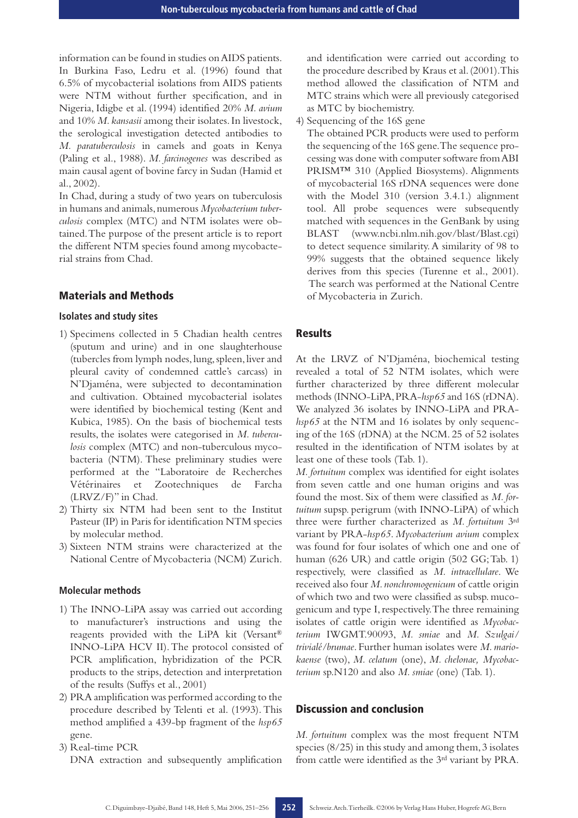information can be found in studies on AIDS patients. In Burkina Faso, Ledru et al. (1996) found that 6.5% of mycobacterial isolations from AIDS patients were NTM without further specification, and in Nigeria, Idigbe et al. (1994) identified 20% *M. avium* and 10% *M. kansasii* among their isolates. In livestock, the serological investigation detected antibodies to *M. paratuberculosis* in camels and goats in Kenya (Paling et al., 1988). *M. farcinogenes* was described as main causal agent of bovine farcy in Sudan (Hamid et al., 2002).

In Chad, during a study of two years on tuberculosis in humans and animals,numerous *Mycobacterium tuberculosis* complex (MTC) and NTM isolates were obtained.The purpose of the present article is to report the different NTM species found among mycobacterial strains from Chad.

#### **Materials and Methods**

#### **Isolates and study sites**

- 1) Specimens collected in 5 Chadian health centres (sputum and urine) and in one slaughterhouse (tubercles from lymph nodes, lung, spleen, liver and pleural cavity of condemned cattle's carcass) in N'Djaména, were subjected to decontamination and cultivation. Obtained mycobacterial isolates were identified by biochemical testing (Kent and Kubica, 1985). On the basis of biochemical tests results, the isolates were categorised in *M. tuberculosis* complex (MTC) and non-tuberculous mycobacteria (NTM). These preliminary studies were performed at the "Laboratoire de Recherches Vétérinaires et Zootechniques de Farcha (LRVZ/F)" in Chad.
- 2) Thirty six NTM had been sent to the Institut Pasteur (IP) in Paris for identification NTM species by molecular method.
- 3) Sixteen NTM strains were characterized at the National Centre of Mycobacteria (NCM) Zurich.

#### **Molecular methods**

- 1) The INNO-LiPA assay was carried out according to manufacturer's instructions and using the reagents provided with the LiPA kit (Versant® INNO-LiPA HCV II).The protocol consisted of PCR amplification, hybridization of the PCR products to the strips, detection and interpretation of the results (Suffys et al., 2001)
- 2) PRA amplification was performed according to the procedure described by Telenti et al. (1993). This method amplified a 439-bp fragment of the *hsp65* gene.

3) Real-time PCR DNA extraction and subsequently amplification and identification were carried out according to the procedure described by Kraus et al.(2001).This method allowed the classification of NTM and MTC strains which were all previously categorised as MTC by biochemistry.

4) Sequencing of the 16S gene

The obtained PCR products were used to perform the sequencing of the 16S gene.The sequence processing was done with computer software from ABI PRISM™ 310 (Applied Biosystems). Alignments of mycobacterial 16S rDNA sequences were done with the Model 310 (version 3.4.1.) alignment tool. All probe sequences were subsequently matched with sequences in the GenBank by using BLAST (www.ncbi.nlm.nih.gov/blast/Blast.cgi) to detect sequence similarity.A similarity of 98 to 99% suggests that the obtained sequence likely derives from this species (Turenne et al., 2001). The search was performed at the National Centre of Mycobacteria in Zurich.

## **Results**

At the LRVZ of N'Djaména, biochemical testing revealed a total of 52 NTM isolates, which were further characterized by three different molecular methods (INNO-LiPA,PRA-*hsp65* and 16S (rDNA). We analyzed 36 isolates by INNO-LiPA and PRA*hsp65* at the NTM and 16 isolates by only sequencing of the 16S (rDNA) at the NCM. 25 of 52 isolates resulted in the identification of NTM isolates by at least one of these tools (Tab. 1).

*M. fortuitum* complex was identified for eight isolates from seven cattle and one human origins and was found the most. Six of them were classified as *M. fortuitum* supsp. perigrum (with INNO-LiPA) of which three were further characterized as *M. fortuitum* 3rd variant by PRA-*hsp65*. *Mycobacterium avium* complex was found for four isolates of which one and one of human (626 UR) and cattle origin (502 GG; Tab. 1) respectively, were classified as *M. intracellulare*. We received also four *M.nonchromogenicum* of cattle origin of which two and two were classified as subsp. mucogenicum and type I, respectively.The three remaining isolates of cattle origin were identified as *Mycobacterium* IWGMT.90093, *M. smiae* and *M. Szulgai/ trivialé/brumae*. Further human isolates were *M. mariokaense* (two), *M. celatum* (one), *M. chelonae, Mycobacterium* sp.N120 and also *M. smiae* (one) (Tab. 1).

#### **Discussion and conclusion**

*M. fortuitum* complex was the most frequent NTM species (8/25) in this study and among them, 3 isolates from cattle were identified as the 3rd variant by PRA.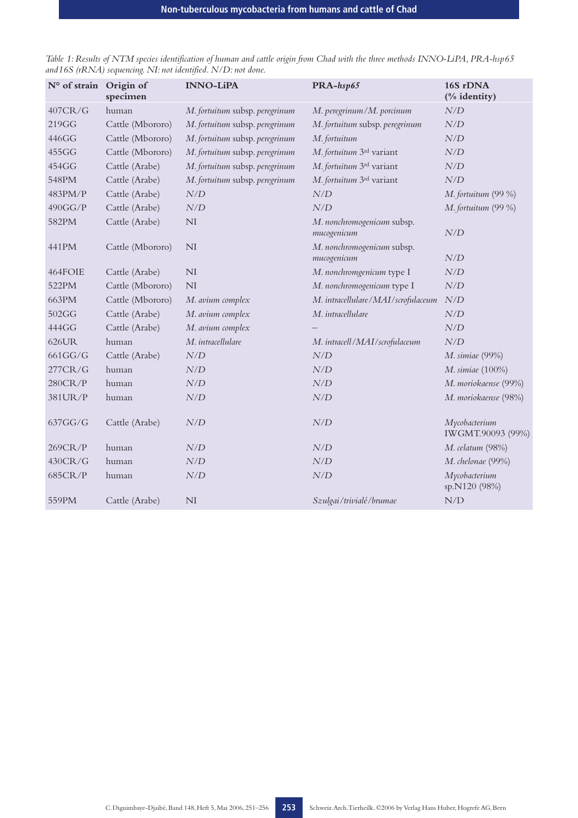| N° of strain | Origin of<br>specimen | <b>INNO-LiPA</b>                               | PRA-hsp65                                 | 16S rDNA<br>(% identity)                       |
|--------------|-----------------------|------------------------------------------------|-------------------------------------------|------------------------------------------------|
| 407CR/G      | human                 | M. fortuitum subsp. peregrinum                 | M. peregrinum/M. porcinum                 | N/D                                            |
| 219GG        | Cattle (Mbororo)      | M. fortuitum subsp. peregrinum                 | M. fortuitum subsp. peregrinum            | N/D                                            |
| 446GG        | Cattle (Mbororo)      | M. fortuitum subsp. peregrinum                 | M. fortuitum                              | N/D                                            |
| 455GG        | Cattle (Mbororo)      | M. fortuitum subsp. peregrinum                 | M. fortuitum 3rd variant                  | N/D                                            |
| 454GG        | Cattle (Arabe)        | M. fortuitum subsp. peregrinum                 | M. fortuitum 3rd variant                  | N/D                                            |
| 548PM        | Cattle (Arabe)        | M. fortuitum subsp. peregrinum                 | M. fortuitum 3rd variant                  | N/D                                            |
| 483PM/P      | Cattle (Arabe)        | $N\hspace{-0.1cm}\mathbin{/}\hspace{-0.07cm}D$ | $N\!/\!D$                                 | M. fortuitum (99 %)                            |
| 490GG/P      | Cattle (Arabe)        | $N\hspace{-0.1cm}\mathbin{/}\hspace{-0.07cm}D$ | N/D                                       | M. fortuitum (99 %)                            |
| 582PM        | Cattle (Arabe)        | NI                                             | M. nonchromogenicum subsp.<br>mucogenicum | N/D                                            |
| 441PM        | Cattle (Mbororo)      | <b>NI</b>                                      | M. nonchromogenicum subsp.<br>mucogenicum | N/D                                            |
| 464FOIE      | Cattle (Arabe)        | <b>NI</b>                                      | M. nonchromgenicum type I                 | N/D                                            |
| 522PM        | Cattle (Mbororo)      | <b>NI</b>                                      | M. nonchromogenicum type I                | $N\hspace{-0.1cm}\mathbin{/}\hspace{-0.07cm}D$ |
| 663PM        | Cattle (Mbororo)      | M. avium complex                               | M. intracellulare/MAI/scrofulaceum        | N/D                                            |
| 502GG        | Cattle (Arabe)        | M. avium complex                               | M. intracellulare                         | N/D                                            |
| 444GG        | Cattle (Arabe)        | M. avium complex                               |                                           | N/D                                            |
| 626UR        | human                 | M. intracellulare                              | M. intracell/MAI/scrofulaceum             | N/D                                            |
| 661GG/G      | Cattle (Arabe)        | $N\hspace{-0.1cm}\mathbin{/}\hspace{-0.07cm}D$ | N/D                                       | M. simiae (99%)                                |
| 277CR/G      | human                 | N/D                                            | N/D                                       | M. simiae (100%)                               |
| 280CR/P      | human                 | $N\!/\!D$                                      | $N\!/\!D$                                 | M. moriokaense (99%)                           |
| 381UR/P      | human                 | $N\hspace{-0.1cm}\mathbin{/}\hspace{-0.07cm}D$ | N/D                                       | M. moriokaense (98%)                           |
| 637GG/G      | Cattle (Arabe)        | N/D                                            | N/D                                       | Mycobacterium<br>IWGMT.90093 (99%)             |
| 269CR/P      | human                 | N/D                                            | N/D                                       | M. celatum (98%)                               |
| 430CR/G      | human                 | N/D                                            | N/D                                       | M. chelonae (99%)                              |
| 685CR/P      | human                 | $N\!/\!D$                                      | $N\!/\!D$                                 | Mycobacterium<br>sp.N120 (98%)                 |
| 559PM        | Cattle (Arabe)        | NI                                             | Szulgai/trivialé/brumae                   | N/D                                            |

*Table 1: Results of NTM species identification of human and cattle origin from Chad with the three methods INNO-LiPA, PRA-hsp65 and16S (rRNA) sequencing. NI: not identified. N/D: not done.*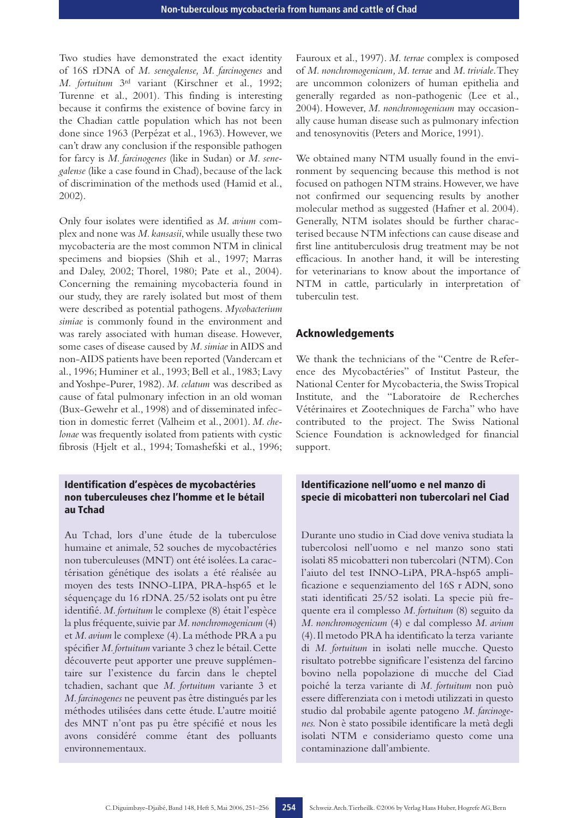Two studies have demonstrated the exact identity of 16S rDNA of *M. senegalense, M. farcinogenes* and *M. fortuitum* 3rd variant (Kirschner et al., 1992; Turenne et al., 2001). This finding is interesting because it confirms the existence of bovine farcy in the Chadian cattle population which has not been done since 1963 (Perpézat et al., 1963). However, we can't draw any conclusion if the responsible pathogen for farcy is *M. farcinogenes* (like in Sudan) or *M. senegalense* (like a case found in Chad), because of the lack of discrimination of the methods used (Hamid et al., 2002).

Only four isolates were identified as *M. avium* complex and none was *M.kansasii*,while usually these two mycobacteria are the most common NTM in clinical specimens and biopsies (Shih et al., 1997; Marras and Daley, 2002; Thorel, 1980; Pate et al., 2004). Concerning the remaining mycobacteria found in our study, they are rarely isolated but most of them were described as potential pathogens. *Mycobacterium simiae* is commonly found in the environment and was rarely associated with human disease. However, some cases of disease caused by *M.simiae* in AIDS and non-AIDS patients have been reported (Vandercam et al., 1996; Huminer et al., 1993; Bell et al., 1983; Lavy and Yoshpe-Purer, 1982). *M. celatum* was described as cause of fatal pulmonary infection in an old woman (Bux-Gewehr et al., 1998) and of disseminated infection in domestic ferret (Valheim et al., 2001). *M. chelonae* was frequently isolated from patients with cystic fibrosis (Hjelt et al., 1994; Tomashefski et al., 1996;

### **Identification d'espèces de mycobactéries non tuberculeuses chez l'homme et le bétail au Tchad**

Au Tchad, lors d'une étude de la tuberculose humaine et animale, 52 souches de mycobactéries non tuberculeuses (MNT) ont été isolées.La caractérisation génétique des isolats a été réalisée au moyen des tests INNO-LIPA, PRA-hsp65 et le séquençage du 16 rDNA. 25/52 isolats ont pu être identifié. *M. fortuitum* le complexe (8) était l'espèce la plus fréquente, suivie par *M. nonchromogenicum* (4) et *M.avium* le complexe (4).La méthode PRA a pu spécifier *M.fortuitum* variante 3 chez le bétail.Cette découverte peut apporter une preuve supplémentaire sur l'existence du farcin dans le cheptel tchadien, sachant que *M. fortuitum* variante 3 et *M.farcinogenes* ne peuvent pas être distingués par les méthodes utilisées dans cette étude. L'autre moitié des MNT n'ont pas pu être spécifié et nous les avons considéré comme étant des polluants environnementaux.

Fauroux et al., 1997). *M. terrae* complex is composed of *M. nonchromogenicum, M. terrae* and *M. triviale*.They are uncommon colonizers of human epithelia and generally regarded as non-pathogenic (Lee et al., 2004). However, *M. nonchromogenicum* may occasionally cause human disease such as pulmonary infection and tenosynovitis (Peters and Morice, 1991).

We obtained many NTM usually found in the environment by sequencing because this method is not focused on pathogen NTM strains. However, we have not confirmed our sequencing results by another molecular method as suggested (Hafner et al. 2004). Generally, NTM isolates should be further characterised because NTM infections can cause disease and first line antituberculosis drug treatment may be not efficacious. In another hand, it will be interesting for veterinarians to know about the importance of NTM in cattle, particularly in interpretation of tuberculin test.

#### **Acknowledgements**

We thank the technicians of the "Centre de Reference des Mycobactéries" of Institut Pasteur, the National Center for Mycobacteria, the Swiss Tropical Institute, and the "Laboratoire de Recherches Vétérinaires et Zootechniques de Farcha" who have contributed to the project. The Swiss National Science Foundation is acknowledged for financial support.

# **Identificazione nell'uomo e nel manzo di specie di micobatteri non tubercolari nel Ciad**

Durante uno studio in Ciad dove veniva studiata la tubercolosi nell'uomo e nel manzo sono stati isolati 85 micobatteri non tubercolari (NTM).Con l'aiuto del test INNO-LiPA, PRA-hsp65 amplificazione e sequenziamento del 16S r ADN, sono stati identificati 25/52 isolati. La specie più frequente era il complesso *M. fortuitum* (8) seguito da *M. nonchromogenicum* (4) e dal complesso *M. avium* (4).Il metodo PRA ha identificato la terza variante di *M. fortuitum* in isolati nelle mucche. Questo risultato potrebbe significare l'esistenza del farcino bovino nella popolazione di mucche del Ciad poiché la terza variante di *M. fortuitum* non può essere differenziata con i metodi utilizzati in questo studio dal probabile agente patogeno *M. farcinogenes.* Non è stato possibile identificare la metà degli isolati NTM e consideriamo questo come una contaminazione dall'ambiente.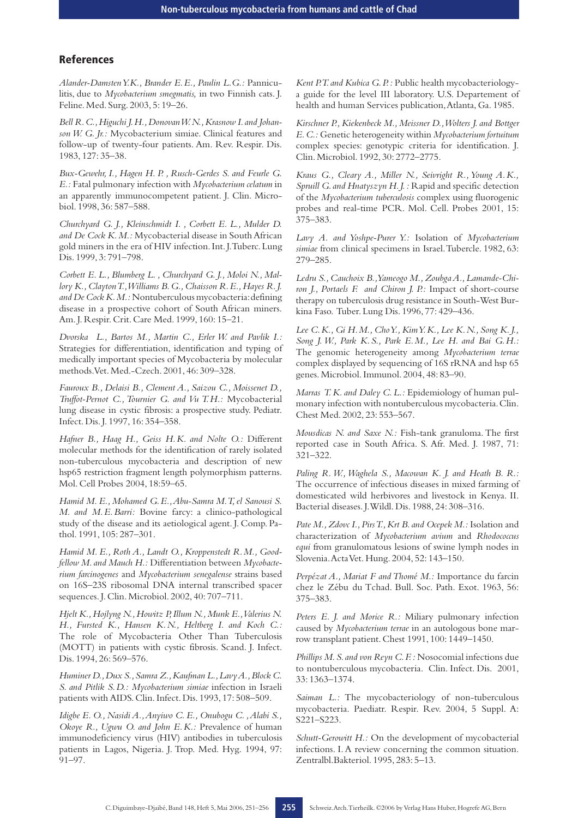## **References**

*Alander-Damsten Y.K., Brander E.E., Paulin L.G.:* Panniculitis, due to *Mycobacterium smegmatis,* in two Finnish cats. J. Feline. Med. Surg. 2003, 5: 19–26.

Bell R. C., Higuchi J. H., Donovan W. N., Krasnow I. and Johan*son W. G. Jr.:* Mycobacterium simiae. Clinical features and follow-up of twenty-four patients. Am. Rev. Respir. Dis. 1983, 127: 35–38.

*Bux-Gewehr, I., Hagen H. P. , Rusch-Gerdes S. and Feurle G. E.:* Fatal pulmonary infection with *Mycobacterium celatum* in an apparently immunocompetent patient. J. Clin. Microbiol. 1998, 36: 587–588.

*Churchyard G. J., Kleinschmidt I. , Corbett E. L., Mulder D. and De Cock K.M.:* Mycobacterial disease in South African gold miners in the era of HIV infection.Int.J.Tuberc.Lung Dis. 1999, 3: 791–798.

*Corbett E. L., Blumberg L. , Churchyard G. J., Moloi N., Mallory K.,Clayton T.,Williams B.G.,Chaisson R.E.,Hayes R.J. and De Cock K.M.:* Nontuberculous mycobacteria:defining disease in a prospective cohort of South African miners. Am. J. Respir. Crit. Care Med. 1999, 160: 15–21.

*Dvorska L., Bartos M., Martin C., Erler W. and Pavlik I.:* Strategies for differentiation, identification and typing of medically important species of Mycobacteria by molecular methods.Vet. Med.-Czech. 2001, 46: 309–328.

*Fauroux B., Delaisi B., Clement A., Saizou C., Moissenet D., Truffot-Pernot C., Tournier G. and Vu T.H.:* Mycobacterial lung disease in cystic fibrosis: a prospective study. Pediatr. Infect. Dis. J. 1997, 16: 354–358.

*Hafner B., Haag H., Geiss H.K. and Nolte O.:* Different molecular methods for the identification of rarely isolated non-tuberculous mycobacteria and description of new hsp65 restriction fragment length polymorphism patterns. Mol. Cell Probes 2004, 18:59–65.

*Hamid M. E., Mohamed G.E.,Abu-Samra M.T, el Sanousi S. M. and M.E.Barri:* Bovine farcy: a clinico-pathological study of the disease and its aetiological agent. J. Comp. Pathol. 1991, 105: 287–301.

*Hamid M. E., Roth A., Landt O., Kroppenstedt R.M., Goodfellow M.and Mauch H.:* Differentiation between *Mycobacterium farcinogenes* and *Mycobacterium senegalense* strains based on 16S–23S ribosomal DNA internal transcribed spacer sequences. J. Clin. Microbiol. 2002, 40: 707–711.

*Hjelt K.,Hojlyng N.,Howitz P,Illum N.,Munk E.,Valerius N. H., Fursted K., Hansen K.N., Heltberg I. and Koch C.:* The role of Mycobacteria Other Than Tuberculosis (MOTT) in patients with cystic fibrosis. Scand. J. Infect. Dis. 1994, 26: 569–576.

*Huminer D.,Dux S.,Samra Z.,Kaufman L.,Lavy A.,Block C. S. and Pitlik S.D.: Mycobacterium simiae* infection in Israeli patients with AIDS. Clin. Infect. Dis. 1993, 17: 508–509.

*Idigbe E. O., Nasidi A.,Anyiwo C. E., Onubogu C. ,Alabi S., Okoye R., Ugwu O. and John E.K.:* Prevalence of human immunodeficiency virus (HIV) antibodies in tuberculosis patients in Lagos, Nigeria. J. Trop. Med. Hyg. 1994, 97: 91–97.

*Kent P.T.and Kubica G.P.:* Public health mycobacteriologya guide for the level III laboratory. U.S. Departement of health and human Services publication,Atlanta, Ga. 1985.

*Kirschner P., Kiekenbeck M., Meissner D.,Wolters J. and Bottger E.C.:* Genetic heterogeneity within *Mycobacterium fortuitum* complex species: genotypic criteria for identification. J. Clin. Microbiol. 1992, 30: 2772–2775.

*Kraus G., Cleary A., Miller N., Seivright R., Young A.K., Spruill G.and Hnatyszyn H.J.:* Rapid and specific detection of the *Mycobacterium tuberculosis* complex using fluorogenic probes and real-time PCR. Mol. Cell. Probes 2001, 15: 375–383.

*Lavy A. and Yoshpe-Purer Y.:* Isolation of *Mycobacterium simiae* from clinical specimens in Israel.Tubercle. 1982, 63: 279–285.

*Ledru S.,Cauchoix B.,Yameogo M.,Zoubga A.,Lamande-Chiron J., Portaels F. and Chiron J. P.:* Impact of short-course therapy on tuberculosis drug resistance in South-West Burkina Faso. Tuber. Lung Dis. 1996, 77: 429–436.

*Lee C.K., Gi H.M., Cho Y., Kim Y.K., Lee K.N., Song K. J., Song J. W., Park K.S., Park E.M., Lee H. and Bai G.H.:* The genomic heterogeneity among *Mycobacterium terrae* complex displayed by sequencing of 16S rRNA and hsp 65 genes. Microbiol. Immunol. 2004, 48: 83–90.

*Marras T. K. and Daley C. L.:* Epidemiology of human pulmonary infection with nontuberculous mycobacteria.Clin. Chest Med. 2002, 23: 553–567.

*Mousdicas N. and Saxe N.:* Fish-tank granuloma. The first reported case in South Africa. S. Afr. Med. J. 1987, 71: 321–322.

*Paling R. W., Waghela S., Macowan K. J. and Heath B. R.:* The occurrence of infectious diseases in mixed farming of domesticated wild herbivores and livestock in Kenya. II. Bacterial diseases. J.Wildl. Dis. 1988, 24: 308–316.

Pate M., Zdovc I., Pirs T., Krt B. and Ocepek M.: Isolation and characterization of *Mycobacterium avium* and *Rhodococcus equi* from granulomatous lesions of swine lymph nodes in Slovenia.Acta Vet. Hung. 2004, 52: 143–150.

*Perpézat A., Mariat F and Thomé M.:* Importance du farcin chez le Zébu du Tchad. Bull. Soc. Path. Exot. 1963, 56: 375–383.

*Peters E. J. and Morice R.:* Miliary pulmonary infection caused by *Mycobacterium terrae* in an autologous bone marrow transplant patient. Chest 1991, 100: 1449–1450.

*Phillips M.S.and von Reyn C.F.:* Nosocomial infections due to nontuberculous mycobacteria. Clin. Infect. Dis. 2001, 33: 1363–1374.

*Saiman L.:* The mycobacteriology of non-tuberculous mycobacteria. Paediatr. Respir. Rev. 2004, 5 Suppl. A: S221–S223.

*Schutt-Gerowitt H.:* On the development of mycobacterial infections. I. A review concerning the common situation. Zentralbl.Bakteriol. 1995, 283: 5–13.